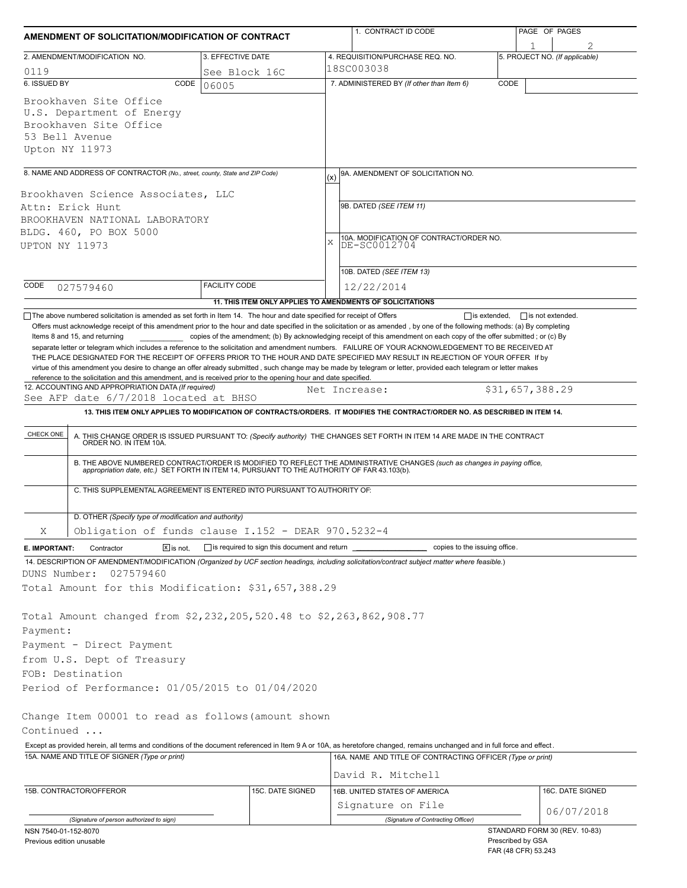| AMENDMENT OF SOLICITATION/MODIFICATION OF CONTRACT                                                                                                                                                                                                                                                                                                                                                                                                                                                                                                                                                                                  |                                                           | 1. CONTRACT ID CODE |                                                                                                                                                                                                                                                                                                                                                                              | PAGE OF PAGES   |                                |  |  |  |
|-------------------------------------------------------------------------------------------------------------------------------------------------------------------------------------------------------------------------------------------------------------------------------------------------------------------------------------------------------------------------------------------------------------------------------------------------------------------------------------------------------------------------------------------------------------------------------------------------------------------------------------|-----------------------------------------------------------|---------------------|------------------------------------------------------------------------------------------------------------------------------------------------------------------------------------------------------------------------------------------------------------------------------------------------------------------------------------------------------------------------------|-----------------|--------------------------------|--|--|--|
|                                                                                                                                                                                                                                                                                                                                                                                                                                                                                                                                                                                                                                     |                                                           |                     |                                                                                                                                                                                                                                                                                                                                                                              |                 |                                |  |  |  |
| 2. AMENDMENT/MODIFICATION NO.                                                                                                                                                                                                                                                                                                                                                                                                                                                                                                                                                                                                       | 3. EFFECTIVE DATE                                         |                     | 4. REQUISITION/PURCHASE REQ. NO.                                                                                                                                                                                                                                                                                                                                             |                 | 5. PROJECT NO. (If applicable) |  |  |  |
| 0119<br>6. ISSUED BY<br>CODE                                                                                                                                                                                                                                                                                                                                                                                                                                                                                                                                                                                                        | See Block 16C                                             |                     | 18SC003038<br>7. ADMINISTERED BY (If other than Item 6)<br>CODE                                                                                                                                                                                                                                                                                                              |                 |                                |  |  |  |
| Brookhaven Site Office<br>U.S. Department of Energy<br>Brookhaven Site Office<br>53 Bell Avenue<br>Upton NY 11973                                                                                                                                                                                                                                                                                                                                                                                                                                                                                                                   | 06005                                                     |                     |                                                                                                                                                                                                                                                                                                                                                                              |                 |                                |  |  |  |
|                                                                                                                                                                                                                                                                                                                                                                                                                                                                                                                                                                                                                                     |                                                           |                     |                                                                                                                                                                                                                                                                                                                                                                              |                 |                                |  |  |  |
| 8. NAME AND ADDRESS OF CONTRACTOR (No., street, county, State and ZIP Code)<br>Brookhaven Science Associates, LLC<br>Attn: Erick Hunt                                                                                                                                                                                                                                                                                                                                                                                                                                                                                               |                                                           |                     | 9A. AMENDMENT OF SOLICITATION NO.<br>(x)<br>9B. DATED (SEE ITEM 11)                                                                                                                                                                                                                                                                                                          |                 |                                |  |  |  |
| BROOKHAVEN NATIONAL LABORATORY                                                                                                                                                                                                                                                                                                                                                                                                                                                                                                                                                                                                      |                                                           |                     |                                                                                                                                                                                                                                                                                                                                                                              |                 |                                |  |  |  |
| BLDG. 460, PO BOX 5000                                                                                                                                                                                                                                                                                                                                                                                                                                                                                                                                                                                                              |                                                           | X                   | 10A. MODIFICATION OF CONTRACT/ORDER NO.                                                                                                                                                                                                                                                                                                                                      |                 |                                |  |  |  |
| UPTON NY 11973                                                                                                                                                                                                                                                                                                                                                                                                                                                                                                                                                                                                                      |                                                           |                     | DE-SC0012704                                                                                                                                                                                                                                                                                                                                                                 |                 |                                |  |  |  |
|                                                                                                                                                                                                                                                                                                                                                                                                                                                                                                                                                                                                                                     |                                                           |                     | 10B. DATED (SEE ITEM 13)                                                                                                                                                                                                                                                                                                                                                     |                 |                                |  |  |  |
| CODE<br>027579460                                                                                                                                                                                                                                                                                                                                                                                                                                                                                                                                                                                                                   | <b>FACILITY CODE</b>                                      |                     | 12/22/2014                                                                                                                                                                                                                                                                                                                                                                   |                 |                                |  |  |  |
|                                                                                                                                                                                                                                                                                                                                                                                                                                                                                                                                                                                                                                     | 11. THIS ITEM ONLY APPLIES TO AMENDMENTS OF SOLICITATIONS |                     |                                                                                                                                                                                                                                                                                                                                                                              |                 |                                |  |  |  |
| separate letter or telegram which includes a reference to the solicitation and amendment numbers. FAILURE OF YOUR ACKNOWLEDGEMENT TO BE RECEIVED AT<br>THE PLACE DESIGNATED FOR THE RECEIPT OF OFFERS PRIOR TO THE HOUR AND DATE SPECIFIED MAY RESULT IN REJECTION OF YOUR OFFER If by<br>virtue of this amendment you desire to change an offer already submitted, such change may be made by telegram or letter, provided each telegram or letter makes<br>reference to the solicitation and this amendment, and is received prior to the opening hour and date specified.<br>12. ACCOUNTING AND APPROPRIATION DATA (If required) |                                                           | Net Increase:       |                                                                                                                                                                                                                                                                                                                                                                              | \$31,657,388.29 |                                |  |  |  |
| See AFP date 6/7/2018 located at BHSO                                                                                                                                                                                                                                                                                                                                                                                                                                                                                                                                                                                               |                                                           |                     |                                                                                                                                                                                                                                                                                                                                                                              |                 |                                |  |  |  |
|                                                                                                                                                                                                                                                                                                                                                                                                                                                                                                                                                                                                                                     |                                                           |                     | 13. THIS ITEM ONLY APPLIES TO MODIFICATION OF CONTRACTS/ORDERS. IT MODIFIES THE CONTRACT/ORDER NO. AS DESCRIBED IN ITEM 14.                                                                                                                                                                                                                                                  |                 |                                |  |  |  |
| CHECK ONE<br>C. THIS SUPPLEMENTAL AGREEMENT IS ENTERED INTO PURSUANT TO AUTHORITY OF:                                                                                                                                                                                                                                                                                                                                                                                                                                                                                                                                               |                                                           |                     | A. THIS CHANGE ORDER IS ISSUED PURSUANT TO: (Specify authority) THE CHANGES SET FORTH IN ITEM 14 ARE MADE IN THE CONTRACT ORDER NO. IN ITEM 10A.<br>B. THE ABOVE NUMBERED CONTRACT/ORDER IS MODIFIED TO REFLECT THE ADMINISTRATIVE CHANGES (such as changes in paying office,<br>appropriation date, etc.) SET FORTH IN ITEM 14, PURSUANT TO THE AUTHORITY OF FAR 43.103(b). |                 |                                |  |  |  |
|                                                                                                                                                                                                                                                                                                                                                                                                                                                                                                                                                                                                                                     |                                                           |                     |                                                                                                                                                                                                                                                                                                                                                                              |                 |                                |  |  |  |
| D. OTHER (Specify type of modification and authority)<br>Obligation of funds clause I.152 - DEAR 970.5232-4<br>X                                                                                                                                                                                                                                                                                                                                                                                                                                                                                                                    |                                                           |                     |                                                                                                                                                                                                                                                                                                                                                                              |                 |                                |  |  |  |
|                                                                                                                                                                                                                                                                                                                                                                                                                                                                                                                                                                                                                                     |                                                           |                     |                                                                                                                                                                                                                                                                                                                                                                              |                 |                                |  |  |  |
| $\boxed{\mathsf{x}}$ is not.<br>Contractor<br>E. IMPORTANT:                                                                                                                                                                                                                                                                                                                                                                                                                                                                                                                                                                         | is required to sign this document and return              |                     | copies to the issuing office.                                                                                                                                                                                                                                                                                                                                                |                 |                                |  |  |  |
| 14. DESCRIPTION OF AMENDMENT/MODIFICATION (Organized by UCF section headings, including solicitation/contract subject matter where feasible.)<br>DUNS Number:<br>027579460                                                                                                                                                                                                                                                                                                                                                                                                                                                          |                                                           |                     |                                                                                                                                                                                                                                                                                                                                                                              |                 |                                |  |  |  |
| Total Amount for this Modification: \$31,657,388.29                                                                                                                                                                                                                                                                                                                                                                                                                                                                                                                                                                                 |                                                           |                     |                                                                                                                                                                                                                                                                                                                                                                              |                 |                                |  |  |  |
| Total Amount changed from \$2,232,205,520.48 to \$2,263,862,908.77<br>Payment:                                                                                                                                                                                                                                                                                                                                                                                                                                                                                                                                                      |                                                           |                     |                                                                                                                                                                                                                                                                                                                                                                              |                 |                                |  |  |  |
| Payment - Direct Payment                                                                                                                                                                                                                                                                                                                                                                                                                                                                                                                                                                                                            |                                                           |                     |                                                                                                                                                                                                                                                                                                                                                                              |                 |                                |  |  |  |
| from U.S. Dept of Treasury                                                                                                                                                                                                                                                                                                                                                                                                                                                                                                                                                                                                          |                                                           |                     |                                                                                                                                                                                                                                                                                                                                                                              |                 |                                |  |  |  |
| FOB: Destination                                                                                                                                                                                                                                                                                                                                                                                                                                                                                                                                                                                                                    |                                                           |                     |                                                                                                                                                                                                                                                                                                                                                                              |                 |                                |  |  |  |
| Period of Performance: 01/05/2015 to 01/04/2020                                                                                                                                                                                                                                                                                                                                                                                                                                                                                                                                                                                     |                                                           |                     |                                                                                                                                                                                                                                                                                                                                                                              |                 |                                |  |  |  |
| Change Item 00001 to read as follows (amount shown                                                                                                                                                                                                                                                                                                                                                                                                                                                                                                                                                                                  |                                                           |                     |                                                                                                                                                                                                                                                                                                                                                                              |                 |                                |  |  |  |
| Continued                                                                                                                                                                                                                                                                                                                                                                                                                                                                                                                                                                                                                           |                                                           |                     |                                                                                                                                                                                                                                                                                                                                                                              |                 |                                |  |  |  |
| Except as provided herein, all terms and conditions of the document referenced in Item 9 A or 10A, as heretofore changed, remains unchanged and in full force and effect.                                                                                                                                                                                                                                                                                                                                                                                                                                                           |                                                           |                     |                                                                                                                                                                                                                                                                                                                                                                              |                 |                                |  |  |  |
| 15A. NAME AND TITLE OF SIGNER (Type or print)                                                                                                                                                                                                                                                                                                                                                                                                                                                                                                                                                                                       |                                                           |                     | 16A. NAME AND TITLE OF CONTRACTING OFFICER (Type or print)<br>David R. Mitchell                                                                                                                                                                                                                                                                                              |                 |                                |  |  |  |
| 15B. CONTRACTOR/OFFEROR                                                                                                                                                                                                                                                                                                                                                                                                                                                                                                                                                                                                             | 15C. DATE SIGNED                                          |                     | 16B. UNITED STATES OF AMERICA                                                                                                                                                                                                                                                                                                                                                |                 | 16C. DATE SIGNED               |  |  |  |
|                                                                                                                                                                                                                                                                                                                                                                                                                                                                                                                                                                                                                                     |                                                           |                     | Signature on File                                                                                                                                                                                                                                                                                                                                                            |                 |                                |  |  |  |
| (Signature of person authorized to sign)                                                                                                                                                                                                                                                                                                                                                                                                                                                                                                                                                                                            |                                                           |                     | (Signature of Contracting Officer)                                                                                                                                                                                                                                                                                                                                           |                 | 06/07/2018                     |  |  |  |
| NSN 7540-01-152-8070                                                                                                                                                                                                                                                                                                                                                                                                                                                                                                                                                                                                                |                                                           |                     |                                                                                                                                                                                                                                                                                                                                                                              |                 | STANDARD FORM 30 (REV. 10-83)  |  |  |  |

revious edition unusable

Prescribed by GSA FAR (48 CFR) 53.243